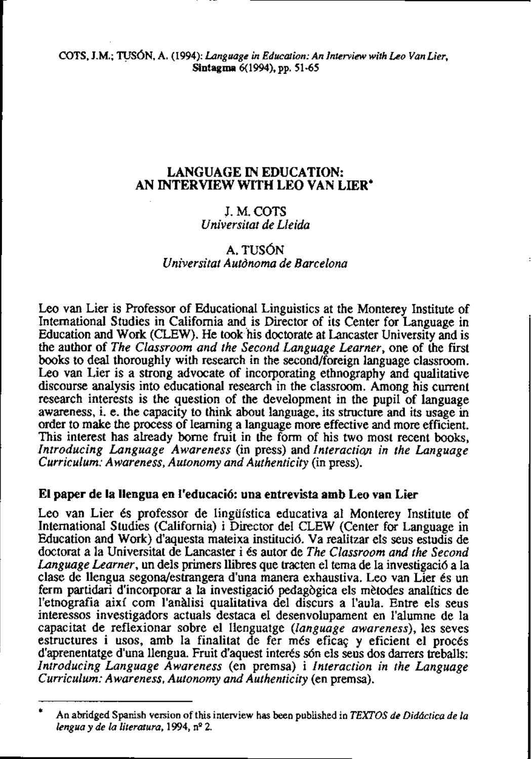# **LANGUAGE IN EDUCATION: AN INTERVIEW WITH LEO VAN LIER\***

# J. M. COTS *Universitat de Lleida*

# A. TUSÓN *Universitat Autdnoma de Barcelona*

Leo van Lier is Professor of Educational Linguistics at the Monterey Institute of International Studies in California and, is Director of its Center for Language in Education and Work (CLEW). He took his doctorate at Lancaster University and is the author of *The Classroom and the Second Language Learner,* one of the first books to deal thoroughly with research in the second/foreign language classroom. Leo van Lier is a strong advocate of incorporating ethnography and qualitative discourse analysis into educational research in the classroom. Among his current research interests is the question of the development in the pupil of language awareness, i. e. the capacity to think about language, its structure and its usage **in**  order to make the process of learning a language more effective and more efficient. This interest has already borne fruit in the form of his two most recent books, *Introducing Language Awareness* (in press) and *Interactim in the Language Curriculum: Awareness, Autonomy and Authenticity* (in press).

# **El paper de la llengua en I'educaci6: una entrevista amb Leo van Lier**

Leo van Lier és professor de lingüística educativa al Monterey Institute of International Studies (California) i Director del CLEW (Center for Language in Education and Work) d'aquesta mateixa instituci6. Va realitzar els seus estudis de doctorat a la Universitat de Lancaster i 6s autor de *The Classroom and the Second Language Learner,* un dels primers llibres que tracten el tema de la investigaci6 a la clase de llengua segonajestrangera d'una manera exhaustiva. Leo van Lier 6s un ferm partidari d'incorporar a la investigaci6 pedagbgica els mbtodes analítics de l'etnografia així com l'anàlisi qualitativa del discurs a l'aula. Entre els seus interessos investigadors actuals destaca el desenvolupament en l'alumne de la capacitat de reflexionar sobre el llenguatge *(language awareness),* les seves estructures i usos, amb la finalitat de fer més eficaç y eficient el procés d'aprenentatge d'una llengua. Fruit d'aquest interés són els seus dos darrers treballs: *Introducing Language Awareness* (en premsa) i *Interaction in rhe Language Curriculum: Awareness, Autonomy and Authenticity* (en premsa).

<sup>\*</sup> **An atnidged Spanish version of this intemiew has been published in TEXTOS de Diddctica de la lengua y de la literatura, 1994, nQ 2.**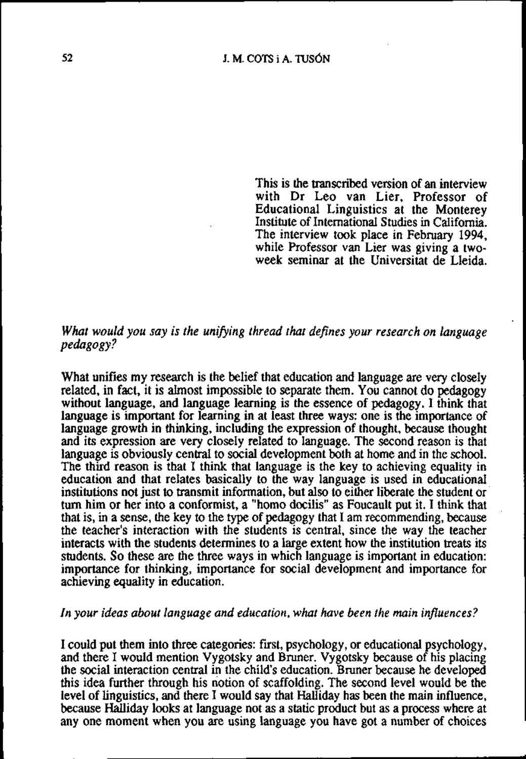This is the transcribed version of an interview with Dr Leo van Lier, Professor of Educational Linguistics at the Monterey Institute of International Studies in Caiifornia. The interview took place in February 1994, while Professor van Lier was giving a twoweek seminar at the Universitat de Lleida.

# *What would you say is the unifying thread that defines your research on language pedagogy* ?

What unifies my research is the belief that education and language are very closely related, in fact, it is alrnost impossible to separate them. You cannot do pedagogy without language, and language learning is the essence of pedagogy. I think that language is important for leaming in at least three ways: one is the importance of language growth in thinking, including the expression of thought, because thought and its expression are very closely related to language. The second reason is that language is obviously central to sociai development both at home and in the school. The third reason is that I think that language is the key to achieving equality in education and that relates basically to the way language is used in educational institutions not just to transmit information, but also to either liberate the student or turn him or her into a conformist, a "homo docilis" as Foucault put it. I think that that is, in a sense, the key to the **type** of pedagogy that I am recommending, because the teacher's interaction with the students is central, since the way the teacher interacts with the students determines to a large extent how the institution treats its students. So these are the three ways in which language is important in education: importance for thinking, importance for social development and importance for achieving equality in education.

### *In your ideas about language and education, what have been the main influences?*

I could put them into three categories: fnst, psychology, or educational psychology, and there I would mention Vygotsky and Bruner. Vygotsky because of his placing the social interaction central in the child's education. Bruner because he developed this idea further through his notion of scaffolding. The second level would be the level of linguistics, and there I would say that Halliday has been the main influence, because Halliday looks at language not as a static product but as a process where at any one moment when you are using language you have got a number of choices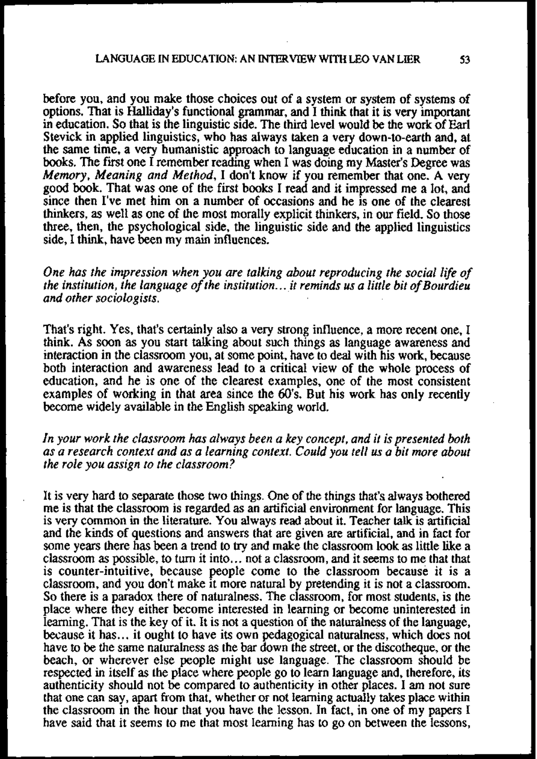before you, and you make those choices out of a system or system of systems of options. That is Haliiday's functional grammar, and I think that it is very important in education. So that is the linguistic side. The third level would be the work of Earl Stevick in applied linguistics, who has always taken a very down-to-earth and, at the sarne time, a very humanistic approach to language education in a number of books. The first one I remember reading when I was doing my Master's Degree was *Memory, Meaning and Method,* I don't know if you remember that one. **A** very good book. That was one of the first books I read and it impressed me a lot, and since then I've met him on a number of occasions and he is one of the clearest thinkers, as well as one of the most morally explicit thinkers, in our field. So those three, then, the psychological side, the linguistic side and the applied linguistics side, I think, have been my main influences.

*One has the impression when you are talking about reproducing the social life of the institution, the language of the institution..* . *it reminds us a little bit of Bourdieu and other sociologists.* 

That's right. Yes, that's certainly also a very strong influence, a more recent one, I think. As soon as you start talking about such things as language awareness and interaction in the classroom you, at some point, have to deal with his work, because both interaction and awareness lead to a critica1 view of the whole process of education, and he is one of the clearest examples, one of the most consistent examples of working in that area since the 60's. But his work has only recently become widely available in the Engiish speaking world.

*In your work the classroom has always been a key concept, and it is presented both as a research context and as a learning context. Could yau tell us a bit more about the role you assign to the classroom?* 

It is very hard to separate those two ihings. One of ihe things ihat's always bothered me is that the classroom is regarded as an artificial environment for language. This is very common in the literature. You always read about it. Teacher **talk** is artificial and the kinds of questions and answers that are given are artificial, and in fact for some years there has been a trend to **try** and make the classroom look as little like a classroom as possible, to turn it into. .. not a classroom, and it seems to me that that is counter-intuitive, because people come to the classroom because it is a classroom, and you don't make it more natural by pretending it is not a classroom. So there is a paradox there of naturalness. The classroom, for most students, is the place where they either become interested in learning or become uninterested in learning. That is the key of it. It is not a question of the naturalness of the language, because it has.. . it ought to have its own pedagogical naturalness, which does not have to be the same naturalness as the bar down the street, or the discotheque, or the beach, or wherever else people might use language. The classroom should be respected **in** itself as the place where people go to learn language and, therefore, its authenticity should not be compared to authenticity in other places. I am not sure that one can say, apart from that, whether or not learning actually takes place within the classroom in the hour that you have the lesson. In fact, in one of my papers I have said that it seems to me that most learning has to go on between the lessons,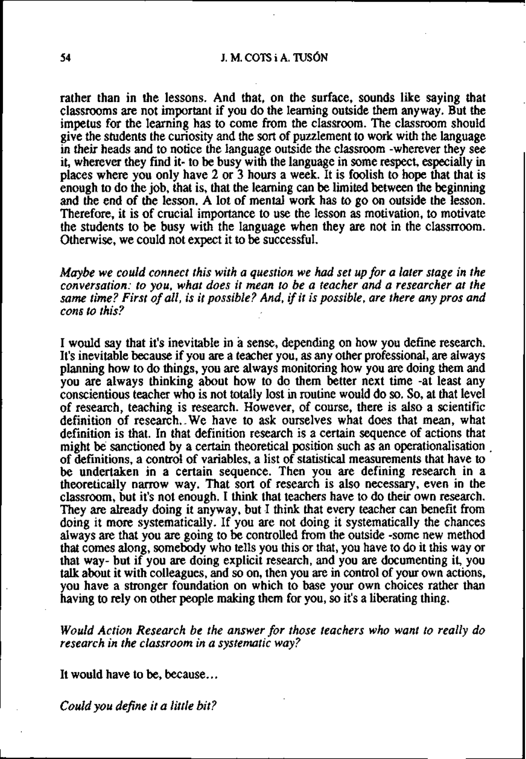### **54 J. M. COTS** i A. TUSÓN

rather than in the lessons. And that, on the surface, sounds like saying that classrooms **are** not important if you do the learning outside them anyway. But the impetus for the learning has to come from the classroom. The classroom should give the students the curiosity and the sort of puzzlement to work with the language in their heads and to notice the language outside the classroom -wherever they see it, wherever they find it- to be busy with the language in some respect, especially in places where you only have 2 or 3 hours a week. It is foolish to hope that that is enough to do the job, that is, thai the learning **can** be limiíed between the beginning and the end of the lesson. A lot of mental work has to go on outside the lesson. Therefore, it is of crucial importance to use the lesson as motivation, to motivate the students to be busy with the language when they are not in the classrroom. Otherwise, we could not expect it to be successful.

*Maybe we could connect this with a question we had set up for a later stage in the conversation: to you, what does it mean to be a teacher and a researcher at rhe*  same time? First of all, is it possible? And, if it is possible, are there any pros and *cons to this?* 

I would say that it's inevitable in a sense, depending on how you define research. It's inevitable because if you **are** a teacher you, as any other professional, **are** always planning how to do things, you **are** always monitoring how you **are** doing them and you are always thinking about how to do them better next time -at least any conscientious teacher who is not totally lost in routine would do so. So, at that level of research, teaching is research. However, of course, there is also a scientific definition of research.-We have to ask ourselves what does that mean, what definition is that. In that definition research is a certain sequence of actions that might be sanctioned by a certain theoretical position such as an operationalisation . of definitions, a control of variables, a list of statistical measurements that have to be undertaken in a certain sequence. Then you are defining research in a theoretically narrow way. That sort of research is also necessary, even in the classroom, but it's not enough. I think that teachers have to do theu own research. They are already doing it anyway, but I think that every teacher can benefit from doing it more systematicaily. If you are not doing it systematically the chances aiways **are** that you **are** going to be controiled from the outside -some new method thai comes dong, somebody who tells you this or that, you have to do it this way or that way- but if you **are** doing explicit research, and you are documenting it, you **talk** about it with colleagues, and so on, then you **are** in control of your own actions, you have a stronger foundation on which to base your own choices rather than having to rely on other people making them for you, so it's a liberating thing.

*Would Action Research be the answer for those teachers who want to really do research in the classroom in a systematic way?* 

It would have to be, because...

*Could you defne it a little bit?*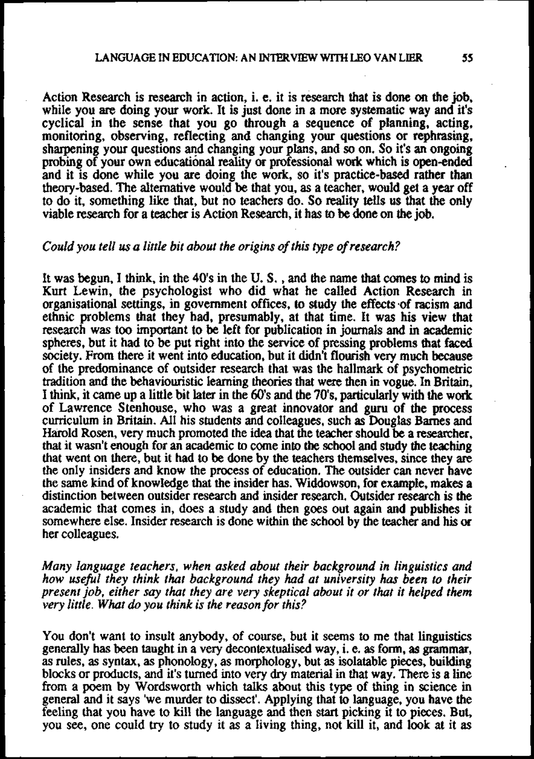Action Research is research in action, i. e. it is resemh that is done on the job, while you **are** doing your work. It is just done in a more systematic way and it's cyclical in the sense that you go through a sequence of planning, acting, monitoring, observing, reflecting and changing your questions or rephrasing, sharpening your questions ed changing your plans, and so on. So it's an ongoing probing of your own educational reality or professional work which is open-ended and it is done while you are doing the work, so it's practice-based **rather** than theory-based. The altemative would be that you, as a teacher, would get a year off to do it, something like that, but no teachers do. So reality tells us that the only viable research for a teacher is Action Research, it has to be done on the job.

#### *Could you tell us a little bit about rhe origins of this type of research?*

It was begun, I think, in the 40's in the U. S. , and the name that comes **to** mind is Kurt Lewin, the psychologist who did what he called Action Research in organisational settings, in govemment offices, **to** study the effects vof racism and ethnic problems that they had, presumably, at that time. It **was** his view that research was too important to be left for publication in journals and in academic spheres, but it had to be put right into the service of pressing problems that faced society. From there it went into education, but it didn't flourish very much because of the predominance of outsider research that was the hallmark of psychometric tradition and the behaviouristic learning theories that were then in vogue. In Britain, I think, it carne up a little bit **later** in the 60's and the 70's, particularly with the work of Lawrence Stenhouse, who was a great innovator and guru of the process curriculum in **Britain.** All his students and colleagues, such as Douglas Bames and Harold Rosen, very much promoted the idea that the teacher should be a researcher, that it wasn't enough for an academic to come into the school and study the teaching that went on there, but it had to be done by the teachers themselves, since they are the only insiders and know the process of education. The outsider can never have the same kind of knowledge that the insider has. Widdowson, for example, makes a distinction between outsider research and insider research. Outsider research is the academic that comes in, does a study and then goes out again and publishes it somewhere else. Insider research is done within the school by the teacher and his or her colleagues.

*Muny language teachers, when asked about their background in linguistics and how useful they think that background they had ut university has been to their present job, either say thot they are very skeptical about it or that it helped them very little. What do you think is the reason for this?* 

You don't want to insult anybody, of course, but it seems to me that linguistics generally has been taught in a very decontextualised way, i. e. **as** forn, **as** grammar, as rules, as syntax, as phonology, as morphology, but **as** isolatable pieces, building blocks or products, and it's turned into very **dry** material in that way. There is a line from a poem by Wordsworth which talks about this type of thing in science in general and it says 'we murder to dissect'. Applying that to language, you have the feeling that you have to kill the language and then start picking it to pieces. But, you see, one could **try** to study it as a living thing, not kill it, and look at it as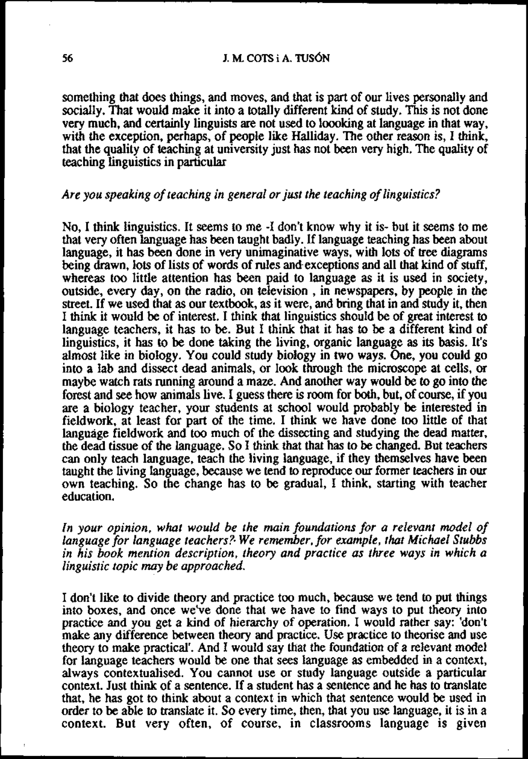something that does things, and moves, and that is part of our lives personally and socially. That would make it into a totally different kind of study. This is not done very much, and certainly linguists are not used to loooking at language in that way, with the exception, perhaps, of people like Halliday. The other reason is, I think, that the quality of teaching at university just has not been very high. The quality of teaching linguistics in particular

# *Are you speaking of teaching in general or just the teaching of linguistics?*

No, I think linguistics. It seems to me **-I** don't know why it is- but it seems to me that very often language has been taught badly. If language teaching has been about language, it has been done in very unimaginative ways, wiih lots of **tree** diagrams being drawn, lots of lists of words of rules and.exceptions and all that kind of stuff, whereas too little attention has been paid to language as it is used in society, outside, every day, on the radio, on television , in newspapers, by people in the street. If we used that as our textbook, as it were, and bring that in and study it, then I think it would be of interest. I think that linguistics should be of **great** interest **to**  language teachers, it has to be. But I think that it has to be a different kind of linguistics, it has to be done taking the living, organic language as its basis. It's almost like in biology. You could study biology in two ways. One, you could go into a lab and dissect dead animals, or look through the microscope at cells, or maybe watch rats running around a maze. And another way would be to go into the forest and **see** how animals live. I guess there is room for **both,** but, of course, if you are a biology teacher, your students at school would probably be interested in fieldwork, at least far part of the time. I think we have done too little of that language fieldwork and too much of the dissecting and studying the dead matter, the dead tissue of the language. So I think that that has to be changed. But teachers can only teach language, teach the living language, if they themselves have been taught the living language, because we tend to reproduce our former teachers in our own teaching. So the change has to be gradual, I think, starting with teacher education.

*In your opinion, what would be rhe main foundations for a relevant model of language for language teachers?. We remember, for example, that Michael Stubbs in his book mention description, theory and practice as three ways in which a linguistic topic may be approached.* 

I don't like to divide theory **and** practice too much, because we tend to put things into boxes, and once we've done that we have to find ways to put theory into practice and you get a kind of hierarchy of operation. I would rather say: 'don't make any difference between theory and practice. Use practice to theorise and use theory to make practical'. And I would say that the foundation of a relevant model for language teachers would be one that sees language as embedded in a context, always contextualised. You cannot use or study language outside a particular context. Just think of a sentence. If a student has a sentence and he has to translate that, he has got to think about a context in which that sentence would be used in order to be able to translate it. So every time, ihen, that you use language, it is **in** a context. But very often, of course, in classrooms language is given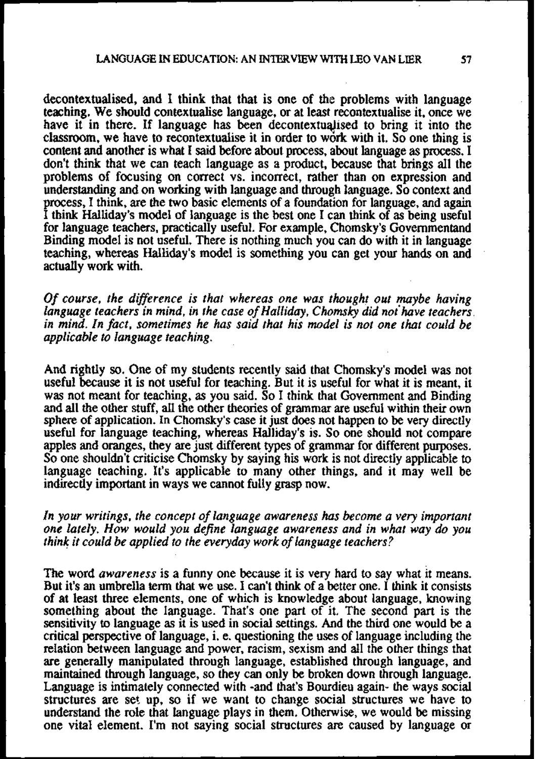decontextuaiised, and I think that that is one of the problems with language teaching. We should contextualise language, or at least recontextualise it, once we have it in there. If language has been decontextualised to bring it into the classroom, we have to recontextualise it in order to work with it. So one thing is content and another is what I said before about process, about language as process. I don't think that we can teach language as a product, because that brings all the problems of focusing on correct vs. incorrect, rather than on expression and understanding and on working with language and through language. So context and process, I think, are the two basic elements of a foundation for language, and again I think Halliday's model of language is the best one I can think of as being useful for language teachers, practically useful. For exarnple, Chomsky's Governmentand Binding model is not useful. There is nothing much you can do with it in language teaching, whereas Halliday's model is something you can get your hands on and actually work with.

*Of course, the difference is that whereas one was thought out maybe having* <sup>I</sup>*language teachers in mind, in the case of Halliday, Chomsky did not have teachers in mind. In fact, sometimes he has said that his model is not one that could be applicable to language teaching.* <sup>I</sup>

And rightly so. One of my students recently said that Chomsky's model was not useful because it is not useful for teaching. But it is useful for what it is meant, it and all the other stuff, all the other theories of grammar are useful within their own sphere of application. In Chomsky's case it just does not happen to be very directly useful for language teaching, whereas Hailiday's is. So one should not compare apples and oranges, they are just different types of grammar for different purposes. So one shouldn't criticise Chomsky by saying his work is not directly applicable to language teaching. It's applicable to many other things, and it may well be indirectly important in ways we cannot fully grasp now.

*In your writings, the concept of language awareness has become a very important one lately. How would you defne language awareness and in what way do you think it could be applied to the everyday work of language teachers?* 

The word *awareness* is a funny one because it is very hard to say what it means. But it's **an** umbrella tem that we use. I can't think of a better one. I think it consists of at least **three** elements, one of which is knowledge about language, knowing something about the language. That's one part of it. The second part is the sensitivity to language as it is used in social settings. And the third one would be a critical perspective of language, i. e. questioning the uses of language including the relation between language and power, racism, sexism and all the other things that are generally manipulated through language, established through language, and maintained through language, so they can only be broken down through language. Language is intimately connected with -and that's Bourdieu again- the ways social structures are set up, so if we want to change social structures we have to understand the role that language plays in them. Otherwise, we would be missing one vital element. I'm not saying social strtlctures **are** caused by language or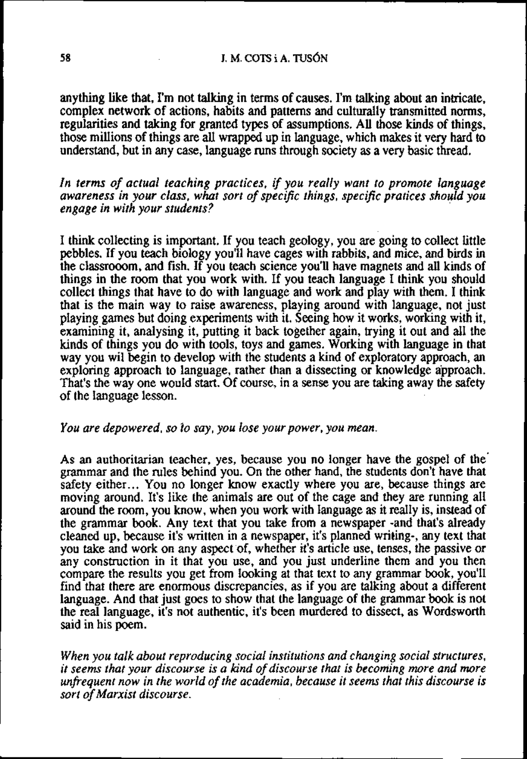# **J. M. COTS i A. TUSÓN**

anything like that, I'm not talking in terms of causes. I'm talking about an intricate, complex network of actions, habits and pattems and culturally transmitted noms, regularities and taking for granted types of assumptions. All those kinds of things, those millions of things are all wrapped up in language, which makes it very hard to understand, but in any case, language runs through society as a very basic thread.

*In terms of actual teaching practices,* **if** *you really want to promote language awareness in your class, what sort of specific things, specific pratices should you engage in with your students?* 

I think collecting is important. If you teach geology, you are going to collect little pebbles. If you teach biology you'll have cages with rabbits, and mice, and birds in the classrooom, and fish. If you teach science you'll have magnets and all kinds of things in the room that you work with. If you teach language I think you should collect things that have to do with language and work and play with them. I think that is the main way to raise awareness, playing around with language, not just playing games but doing experiments with it. Seeing how it works, working with it, examining it, analysing it, putting it back together again, trying it out **and** all the kinds of things you do with tools, toys and games. Working with language in that way you wil begin to develop with the students a kind of exploratory approach, an exploring approach to language, rather than a dissecting or knowledge approach. That's the way one would start. Of course, in a sense you are taking away the safety of the language lesson.

# *You are depowered, so ío say, you lose yourpower, you mean.*

As an authoritarian teacher, yes, because you no longer have the gospel of the' grammar and the rules behind you. On the other hand, the students don't have that safety either... You no longer know exactly where you are, because things are moving around. It's like the animals are out of the cage and they are running all around the room, you know, when you work with language as it really is, instead of the grammar book. Any text that you take from a newspaper -and that's already cleaned up, because it's written in a newspaper, it's planned writing-, any text that you take and work on any aspect of, whether it's article use, tenses, the passive or any construction in it that you use, and you just underline them and you then compare the results you get from looking at that text to any grammar book, you'll find that there **are** enormous discrepancies, as if you are talking about a different language. And that just goes to show that the language of the grammar book is not the real language, it's not authentic, it's been murdered to dissect, as Wordsworth said in his poem.

*When you talk about reproducing social institutions and changing social structures, it seerns that your discourse is a kind of discourse that is becoming more and more*  unfrequent now in the world of the academia, because it seems that this discourse is *sort of Marxist discourse.*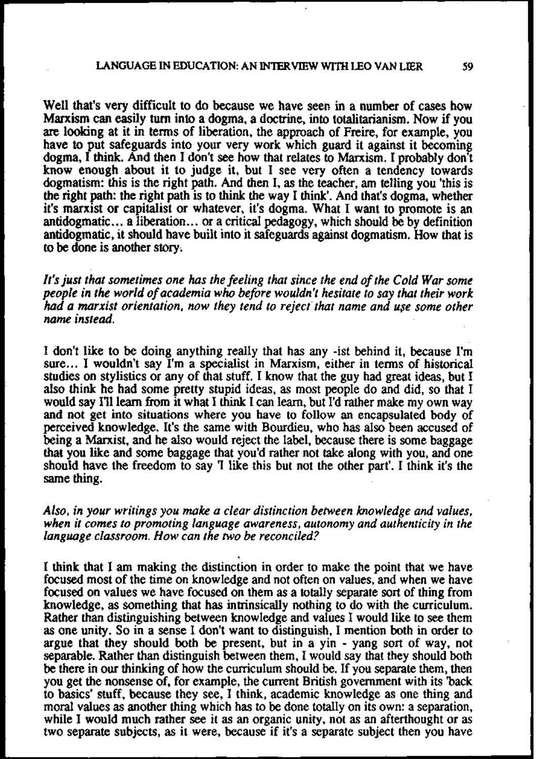Well that's very difficult to do because we have seen in a number of cases how Marxism can easily **turn** into a dogma, a doctrine, into toraiitarianism. Now if you **are** looking at it in tems of liberation, the approach of Freire, for example, you have to put safeguards into your very work which guard it against it becoming dogma, I think. And then I don't see how that relates to Marxism. I probably don't know enough about it to judge it, but I see very often a tendency towards dogmatism: this is the right path. And then I, as the teacher, am telling you 'this is the right path: the right path is to think the way I think'. And that's dogma, whether it's marxist or capitalist or whatever, it's dogma. What I want to promote is an antidogmatic.. . a liberation.. . or a criticai pedagogy, which should be by definition antidogmatic, it should have built into it safeguards against dogmatism. How that is to be done is another story.

*It's just that sometimes one has the feeling that since the end of rhe Cold War some people in the world of academia who before wouldn't hesitate to say that their work had a marxist orientation, now they tend to reject that name and use some other name instead.* 

I don't like to be doing anything reaily that has any -ist behind it, because I'm sure... I wouldn't say I'm a specialist in Marxism, either in tems of historicai studies on stylistics or any of that stuff. I know that the guy had great ideas, but I aiso think he had some pretty stupid ideas, as most people do and did, so that I would say I'll learn from it what I think I can learn, but I'd rather make my own way and not get into situations where you have to follow an encapsulated body of perceived knowledge. It's the same with Bourdieu, who has also been accused of being a Marxist, and he aiso would reject the label, because there is some baggage that you like and some baggage that you'd rather not take dong with you, and one should have the freedom to say 'I like this but not the other part'. I think it's the same thing.

*Also, in your writings you* **make** *a clear distinction benveen knowledge and values, when it comes to promoting language awareness, autonomy and authenticity in the language classroom. How can rhe nuo be reconciled?* 

I think that I **arn** making the distinction in order to make the point that we have focused most of the time on knowledge and not often on vaiues, and when we have focused on vaiues we have focused on them as a totally separate sort of thing from knowledge, as something that has intrinsically nothing to do with the curriculum. Rather than distinguishing between knowledge and vaiues I would like to **see** them as one unity. So in a sense I don't want to distinguish, I mention both in order to argue that they should both be present, but in a yin - yang sort of way, not separable. Rather than distinguish between them, I would say that they should both be there in our thinking of how the curriculum should be. If you separate them, then you get the nonsense of, for example, the current British government with its 'back **to** basics' stuff, because they see, I think, academic knowledge as one thing and moral values as another thing which has to be done totally on its own: a separation, while I would much rather see it as an organic unity, not as an afterthought or as two separate subjects, as it were, because if it's a separate subject then you have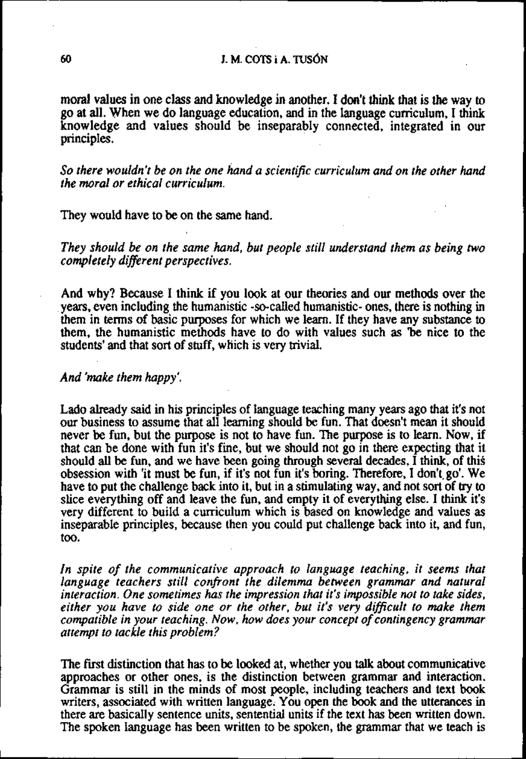# **1. M. COTS i A. TUSÓN**

morai values in one class and knowledge in another. I don't think that is **the** way to go at all. When we do language education, and in the language cumculum, I think knowledge and values should be inseparably connected, integrated in our principles.

So there wouldn't be on the one hand a scientific curriculum and on the other hand *the moral or ethical curriculum.* 

They would have to be on the same hand.

*They should be on the same hand, but people still understand them as being two completely different perspectives.* 

And why? Because I think if you look at our theories and our methods over the . years, even including the humanistic -so-cailed humanistic- ones, there is nothing in them in terms of basic pwposes for which we learn. If they have any substance to them, the humanistic methods have to do with values such as 'be nice to the students' and that sort of stuff, which is very trivial.

# And 'make them happy'.

Lado already said in his principles of language teaching many years ago that it's not our business to assume that all learning should be fun. That doesn't mean it should never be fun, but the purpose is not to have fun. The purpose is to learn. Now, if that can be done with fun it's fine, but we should not go in there expecting that it should ali be fun, and we have been going through several decades, I think, of this obsession with 'it must be fun, if it's not fun it's boring. Therefore, I don'tgo'. We have to put the challenge back into it, but in a stimulating way, and not sort of **try** to slice everything off and leave the fun, and empty it of everything else. I think it's very different to build a curriculum which is based on knowledge and values as inseparable principles, because then you could put challenge back into it, and fun, too.

In spite of the communicative approach to language teaching, it seems that *language teachers still confront the dilemma between grammar and natural interaction. One sometimes has the impression that it's impossible not to take sides, either you have to side one or the other, but it's very dificult to make them compatible in your teaching. Now, how does your concept of contingency grammar attempt to tackle this problem?* 

The **fmt** distinction that has to be lookeú at, whether you **talk** about communicative approaches or other ones, is the distinction between grammar and interaction. Grammar is still in the minds of most people, including teachers and text book writers, associated with written language. You open the book and the utterances **in**  there are basicaiiy sentence units, sentential units if the text has been written down. The spoken language has been written to be spoken, the grammar that we teach is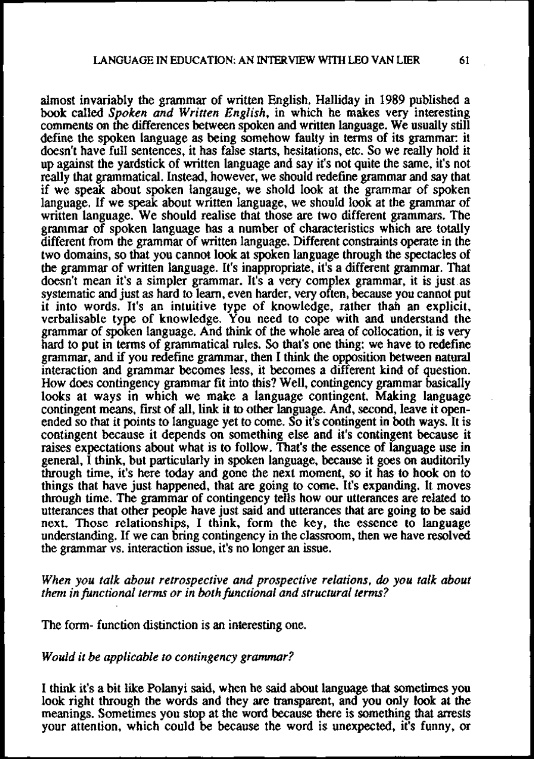almost invariably the grammar of written English. Halliday in 1989 published a book called *Spoken and Written English*, in which he makes very interesting comments on the differences between spoken and written language. We usually still define the spoken language as being somehow faulty in terms of its grammar: it doesn't have full sentences, it has false starts, hesitations, etc. So we really hold it up against the yardstick of written language and say it's not quite the same, it's not really that grammatical. Instead, however, we should redefine grammar and say that if we speak about spoken langauge, we shold look at the grammar of spoken language. If we speak about written language, we should look at the grammar of written language. We should realise that those are two different grammars. The grammar of spoken language has a number of characteristics which **are** totally different from the grammar of written language. Different constraints operate in the two domains, so that you cannot look at spoken lmgoage through the spectacles of the grammar of written language. It's inappropriate, it's a different grammar. That doesn't mean it's a simpler grammar. It's a very complex grammar, it is just as systematic **and** just as hard to learn, even harder, very often, because you cannot put it into words. It's an intuitive type of knowledge, rather thah an explicit, verbalisable type of knowledge. You need to cope with and understand the grammar of spoken language. And think of the whole **area** of collocation, it is very hard to put in terms of grammatical rules. So that's one thing: we have to redefine grammar, and **if** you redefine grammar, then I think the opposition between natural interaction and grammar becomes less, it becomes a different kind of question. How does contingency grammar fit into this? Well, contingency grammar basically looks at ways in which we make a language contingent. Making language contingent means, first of all, link it to other language. And, second, leave it openended so that it points to language yet to come. So it's contingent in both ways. It is contingent because it depends on something else and it's contingent because it raises expectations about what is to follow. That's the essence of language use in generai, I think, but particularly in spoken language, because it goes on auditorily through time, it's here today and gone the next moment, so it has to hook on to things that have just happened, that are going to come. It's expanding. It moves through time. The grammar of contingency tells how our utterances are related to uttemces that other people have just said and utterances that are going **to** be said next. Those relationships, I think, form the key, the essence to language understanding. If we can bring contingency in **the** classroom, then we have resolved the grammar vs. interaction issue, it's no longer an issue.

*When you talk about retrospective and prospective relations, do you talk about them in functional terms or in both functional and structural terms?* 

The form- function distinction is an interesting one.

#### *Would it be applicable to contingency grammar?*

I think it's a bit like Polanyi said, when he said about language that sometimes you look right through the words and they are transparent, and you only look at the meanings. Sometimes you stop at the word because there is something that arrests your attention, which could be because the word is unexpected, it's funny, or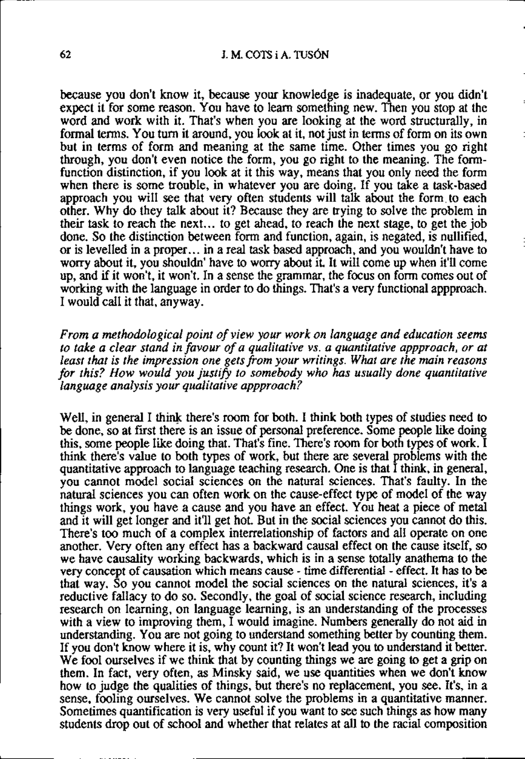## **62** *A. M. COTS i A. TUSÓN*

because you don't know it, because your knowledge is inadequate, or you didn't expect it for some reason. You have to learn something new. Then you stop at the word and work with it. That's when you are looking at the word structurally, in formal tems. You turn it around, you look at it, not just in tems of form on its own but in terms of form and meaning at the same time. Other times you go right through, you don't even notice the form, you go right to the meaning. The formfunction distinction, if you look at it this way, means that you only need the form when there is some trouble, in whatever you are doing. If you take a task-based approach you will see that very often students will talk about the form to each other. Why do they talk about it? Because they are irying to solve the problem in their task to reach the next... to get ahead, to reach the next stage, to get the job done. So the distinction between form and function, again, is negated, is nullified, or is levelled in a proper.. . in a real task based approach, and you wouldn't have to worry about it, you shouldn' have to worry about it. It will come up when it'll come up, and **if** it won't, it won't. In a sense the grammar, the focus on form comes out of working with the language in order to do things. That's a very functional appproach. I would call it that, anyway.

*From a methodological point of yiew your work on language and education seems* to take a clear stand in favour of a qualitative vs. a quantitative appproach, or at *least that is the impression one gets fiom your writings. What are the main reasons for this? How would you justify to somebody who has usually done quantitative language analysis your qualitative appproach?* 

Well, in general I think there's room for both. I think both types of studies need to be done, so at first there is an issue of personal preference. Some people like doing this, some people like doing that. That's fine. There's room for both types of work. I think there's value to both types of work, but there **are** several problems with the quantitative approach to language teaching research. One is that I think, in general, you cannot model social sciences on the natural sciences. That's faulty. In the naturai sciences you can often work on the cause-effect type of model of the way things work, you have a cause and you have an effect. You heat a piece of metal and it will get longer and it'll get hot. But in the social sciences you cannot do this. There's too much of a complex interrelationship of factors and all operate on one another. Very often any effect has a backward causal effect on the cause itself, so we have causality working backwards, which is in a sense totally anathema to the very concept of causation which means cause - time differential - effect. It has to be that way. So you cannot model the social sciences on the natural sciences, it's a reductive fallacy to do so. Secondly, the goal of social science research, including research on learning, on language learning, is an understanding of the processes with a view to improving them, I would imagine. Numbers generally do not aid in understanding. You are not going to understand something better by counting them. If you don't know where it is, why count it? It won't lead you to understand it better. We fool ourselves if we think that by counting things we are going to get a grip on them. In fact, very often, as Minsky said, we use quantities when we don't know how to judge the qualities of things, but there's no replacement, you **see.** It's, in a sense, fooling ourselves. We cannot solve the problems in a quantitative manner. Sometimes quantification is very useful if you want to see such things as how many students drop out of school and whether that relates at all to the racial composition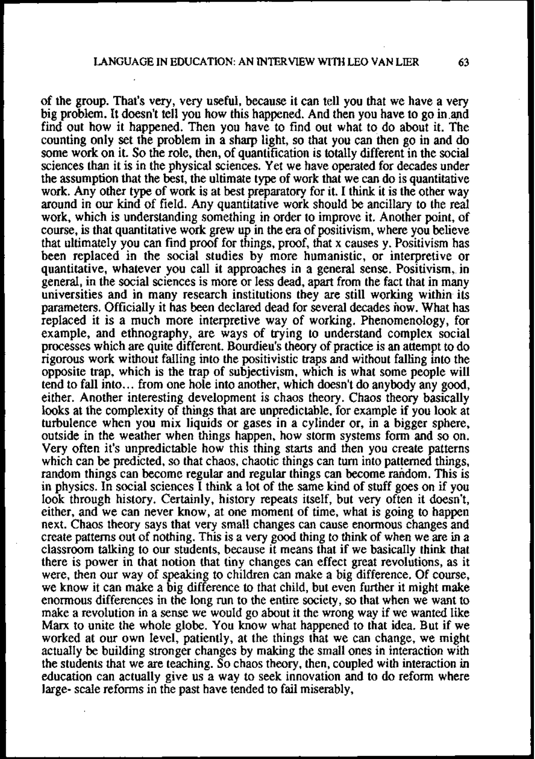of the group. That's very, very useful, because it can tell you that we have a very big problem. It doesn't tell you how this happened. And then you have to go in.and find out how it happened. Then you have to find out what to do about it. The counting only set the problem in a sharp light, so that you can then go in and do some work on it. So the role, then, of quantification is totally different in the social sciences than it is in the physicd sciences. Yet we have operated for decades under the assumption that the best, the ultimate type of work that we can do is quantitative work. Any other type of work is at best preparatory for it. I think it is the other way around in our kind of field. Any quantitative work should be ancillary to the real work, which is understanding something in order to improve it. Another point, of course, is that quantitative work grew up in the era of positivism, where you believe that ultimately you can find proof for things, proof, that x causes y. Positivism has been replaced in the social studies by more humanistic, or interpretive or quantitative, whatever you call it approaches in a general sense. Positivism, in general, in the social sciences is more or less dead, apart from the fact that in many universities and in many research institutions they are still working within its parameters. Officially it has been declared dead for several decades now. What has replaced it is a much more interpretive way of working. Phenomenology, for example, and ethnography, are ways of trying to understand complex social processes which are quite different. Bourdieu's theory of practice is an attempt to do rigorous work without falling into the positivistic traps and without falling into the opposite trap, which is the trap of subjectivism, which is what some people will tend to fall into.. . from one hole into another, which doesn't do anybody any good, either. Another interesting development is chaos theory. Chaos theory basically looks at the complexity of things that are unpredictable, for example if you look at turbulence when you mix liquids or gases in a cylinder or, in a bigger sphere, outside in the weather when things happen, how storm systems form and so on. Very often it's unpredictable how this thing starts and then you create patterns which can be predicted, so that chaos, chaotic things can turn into patterned things, random things can become regular and regular things can become random. This is in physics. In social sciences I think a lot of the sarne kind of stuff goes on if you look through history. Certainly, history repeats itself, but very often it doesn't, either, and we can never know, at one moment of time, what is going to happen next. Chaos theory says that very small changes can cause enormous changes and create pattems out of nothing. This is a very good thing to think of when we are **in** a classroom taking to our students, because it means that if we basically think that there is power in that notion that tiny changes can effect great revolutions, as it were, then our way of speaking to children can make a big difference. Of course, we know it can make a big difference to that child, but even further it might make enormous differences in the long run to the entire society, so that when we want to make a revolution in a sense we would go about it the wrong way if we wanted like **Marx** to unite the whole globe. You know what happened to that idea. But if we worked at our own level, patiently, at the things that we can change, we might actually be building stronger changes by making the small ones in interaction with the students that we are teaching. So chaos theory, then, coupled with interaction in education can actually give us a way to seek innovation and to do reform where large- scale reforms in the past have tended to fail miserably,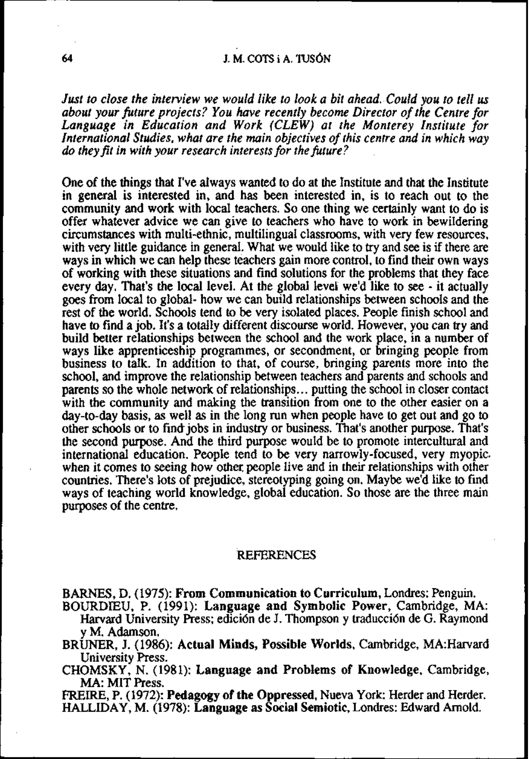# J. M. COTS i A. TUSÓN

*Just to close the interview we would like to look a bit ahead.-Could you to tell us about your fiture projects? You have recently become Director of the Centre for*  International Studies, what are the main objectives of this centre and in which way<br>do they fit in with your research interests for the future?

One of the things that I've always wanied to do at the Institute and that the Institute in general is interested in, and has been interested in, is to reach out to the community and work with local teachers. So one thing we certainly want to do is offer whatever advice we can give to teachers who have to work in bewildering circumstances with multi-ethnic, multilingual classrooms, with very few resources, with very little guidance in general. What we would like to try and see is **if** there are ways in which we can help these teachers gain more control, to find their own ways of working with these situations and find solutions for the problems that they face every day. That's the local level. At the global levei we'd like to **see** - it actually goes from local to global- how we can build relationships between schools and the rest of the world. Schools tend to be very isolated places. People finish school and have to find a job. It's a totally different discourse world. However, you can try and build better relationships between the school and the work place, in a number of ways like apprenticeship programmes, or secondment, or bringing people from business to talk. In addition to that, of course, bringing parents more into the school, and improve the relationship between teachers and parents and schools and parents so the whole network of relationships.. . putting the school in closer contact with the community and making the transition from one to the other easier on a day-to-day basis, as well as in the long run when people have to get out and go to other schools or to find jobs in industry or business. That's another purpose. That's the second purpose. And the third purpose would be to promote intercultural and international education. People tend to be very narrowly-focused, very myopic. when it comes to seeing how other people live and in their relationships with other countries. There's lots of prejudice, stereotyping going on. Maybe we'd like to find ways of teaching world knowledge, global education. So those are the three main purposes of the centre.

## **REFERENCES**

**BARNES,** D. (1975): From Communication to Curriculurn, Londres: Penguin.

BOURDIEU, P. (1991): Language and Symbolic Power, Cambridge, MA: Harvard University Press; edici6n de J. Thompson y traducci6n de G. Raymond y M. Adamson.

BRUNER, J. (1986): Actual Minds, Possible Worlds, Cambridge, MA:Harvard University Press.

CHOMSKY, N. (1981): Language and Problems of Knowledge, Cambridge, **MA:** MIT Press.

FREIRE, P. (1972): Pedagogy of the Oppressed, Nueva York: Herder and Herder. HALLIDAY, M. (1978): Language as Social Semiotic, Londres: Edward Arnold.